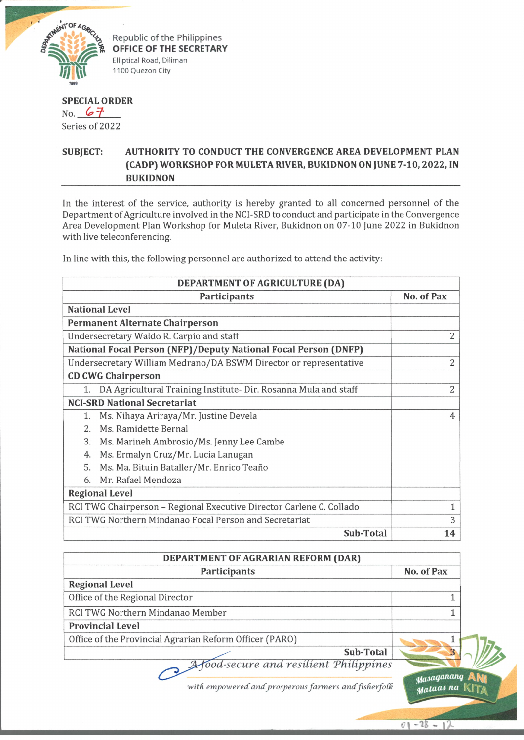

Republic of the Philippines **OFFICE OF THE SECRETARY** Elliptical Road, Diliman 1100 Quezon City

## **SPECIAL ORDER**

No.  $67$ Series of 2022

## **SUBJECT: AUTHORITY TO CONDUCT THE CONVERGENCE AREA DEVELOPMENT PLAN (CADP) WORKSHOP FOR MULETA RIVER, BUKIDNON ON JUNE 7-10, 2022, IN BUKIDNON**

In the interest of the service, authority is hereby granted to all concerned personnel of the Department of Agriculture involved in the NCI-SRD to conduct and participate in the Convergence Area Development Plan Workshop for Muleta River, Bukidnon on 07-10 June 2022 in Bukidnon with live teleconferencing.

In line with this, the following personnel are authorized to attend the activity:

| DEPARTMENT OF AGRICULTURE (DA)                                        |                |  |
|-----------------------------------------------------------------------|----------------|--|
| <b>Participants</b>                                                   | No. of Pax     |  |
| <b>National Level</b>                                                 |                |  |
| <b>Permanent Alternate Chairperson</b>                                |                |  |
| Undersecretary Waldo R. Carpio and staff                              | 2              |  |
| National Focal Person (NFP)/Deputy National Focal Person (DNFP)       |                |  |
| Undersecretary William Medrano/DA BSWM Director or representative     | 2              |  |
| <b>CD CWG Chairperson</b>                                             |                |  |
| DA Agricultural Training Institute- Dir. Rosanna Mula and staff<br>1. | $\overline{2}$ |  |
| <b>NCI-SRD National Secretariat</b>                                   |                |  |
| Ms. Nihaya Ariraya/Mr. Justine Devela<br>1.                           | $\overline{4}$ |  |
| Ms. Ramidette Bernal<br>2 <sup>0</sup>                                |                |  |
| 3.<br>Ms. Marineh Ambrosio/Ms. Jenny Lee Cambe                        |                |  |
| Ms. Ermalyn Cruz/Mr. Lucia Lanugan<br>4.                              |                |  |
| Ms. Ma. Bituin Bataller/Mr. Enrico Teaño<br>5.                        |                |  |
| Mr. Rafael Mendoza<br>6.                                              |                |  |
| <b>Regional Level</b>                                                 |                |  |
| RCI TWG Chairperson - Regional Executive Director Carlene C. Collado  | $\mathbf{1}$   |  |
| RCI TWG Northern Mindanao Focal Person and Secretariat                | 3              |  |
| Sub-Total                                                             | 14             |  |

| DEPARTMENT OF AGRARIAN REFORM (DAR)                     |                         |
|---------------------------------------------------------|-------------------------|
| Participants                                            | No. of Pax              |
| <b>Regional Level</b>                                   |                         |
| Office of the Regional Director                         |                         |
| RCI TWG Northern Mindanao Member                        |                         |
| <b>Provincial Level</b>                                 |                         |
| Office of the Provincial Agrarian Reform Officer (PARO) |                         |
| <b>Sub-Total</b>                                        |                         |
| A food-secure and resilient Philippines                 |                         |
| with empowered and prosperous farmers and fisherfolk    | Masaganang<br>Mataas na |

 $01 - 28 - 12$